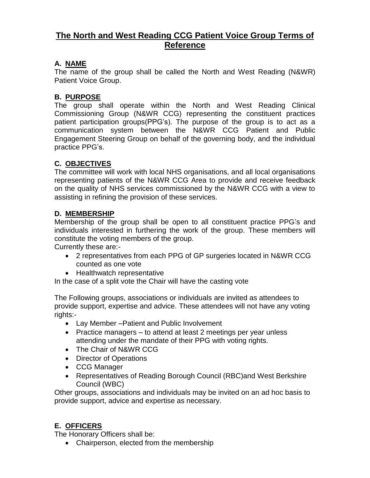# **The North and West Reading CCG Patient Voice Group Terms of Reference**

# **A. NAME**

The name of the group shall be called the North and West Reading (N&WR) Patient Voice Group.

### **B. PURPOSE**

The group shall operate within the North and West Reading Clinical Commissioning Group (N&WR CCG) representing the constituent practices patient participation groups(PPG's). The purpose of the group is to act as a communication system between the N&WR CCG Patient and Public Engagement Steering Group on behalf of the governing body, and the individual practice PPG's.

# **C. OBJECTIVES**

The committee will work with local NHS organisations, and all local organisations representing patients of the N&WR CCG Area to provide and receive feedback on the quality of NHS services commissioned by the N&WR CCG with a view to assisting in refining the provision of these services.

### **D. MEMBERSHIP**

Membership of the group shall be open to all constituent practice PPG's and individuals interested in furthering the work of the group. These members will constitute the voting members of the group.

Currently these are:-

- 2 representatives from each PPG of GP surgeries located in N&WR CCG counted as one vote
- Healthwatch representative

In the case of a split vote the Chair will have the casting vote

The Following groups, associations or individuals are invited as attendees to provide support, expertise and advice. These attendees will not have any voting rights:-

- Lay Member –Patient and Public Involvement
- Practice managers to attend at least 2 meetings per year unless attending under the mandate of their PPG with voting rights.
- The Chair of N&WR CCG
- Director of Operations
- CCG Manager
- Representatives of Reading Borough Council (RBC)and West Berkshire Council (WBC)

Other groups, associations and individuals may be invited on an ad hoc basis to provide support, advice and expertise as necessary.

# **E. OFFICERS**

The Honorary Officers shall be:

• Chairperson, elected from the membership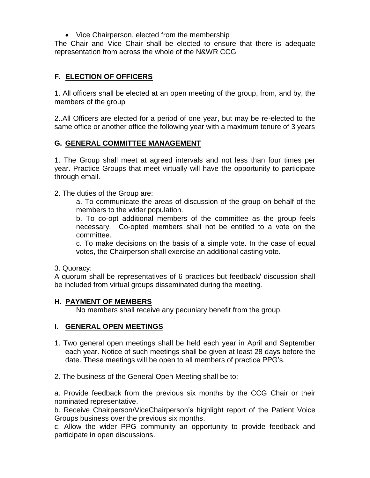• Vice Chairperson, elected from the membership

The Chair and Vice Chair shall be elected to ensure that there is adequate representation from across the whole of the N&WR CCG

# **F. ELECTION OF OFFICERS**

1. All officers shall be elected at an open meeting of the group, from, and by, the members of the group

2..All Officers are elected for a period of one year, but may be re-elected to the same office or another office the following year with a maximum tenure of 3 years

### **G. GENERAL COMMITTEE MANAGEMENT**

1. The Group shall meet at agreed intervals and not less than four times per year. Practice Groups that meet virtually will have the opportunity to participate through email.

2. The duties of the Group are:

a. To communicate the areas of discussion of the group on behalf of the members to the wider population.

b. To co-opt additional members of the committee as the group feels necessary. Co-opted members shall not be entitled to a vote on the committee.

c. To make decisions on the basis of a simple vote. In the case of equal votes, the Chairperson shall exercise an additional casting vote.

3. Quoracy:

A quorum shall be representatives of 6 practices but feedback/ discussion shall be included from virtual groups disseminated during the meeting.

#### **H. PAYMENT OF MEMBERS**

No members shall receive any pecuniary benefit from the group.

#### **I. GENERAL OPEN MEETINGS**

- 1. Two general open meetings shall be held each year in April and September each year. Notice of such meetings shall be given at least 28 days before the date. These meetings will be open to all members of practice PPG's.
- 2. The business of the General Open Meeting shall be to:

a. Provide feedback from the previous six months by the CCG Chair or their nominated representative.

b. Receive Chairperson/ViceChairperson's highlight report of the Patient Voice Groups business over the previous six months.

c. Allow the wider PPG community an opportunity to provide feedback and participate in open discussions.